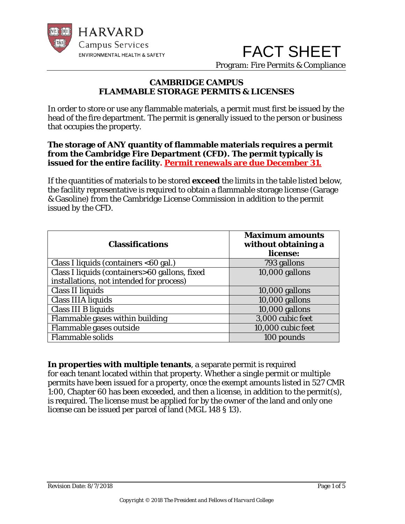

 FACT SHEET Program: Fire Permits & Compliance

# **CAMBRIDGE CAMPUS FLAMMABLE STORAGE PERMITS & LICENSES**

In order to store or use any flammable materials, a permit must first be issued by the head of the fire department. The permit is generally issued to the person or business that occupies the property.

# **The storage of ANY quantity of flammable materials requires a permit from the Cambridge Fire Department (CFD). The permit typically is issued for the entire facility. Permit renewals are due December 31.**

If the quantities of materials to be stored **exceed** the limits in the table listed below, the facility representative is required to obtain a flammable storage license (Garage & Gasoline) from the Cambridge License Commission in addition to the permit issued by the CFD.

| <b>Classifications</b>                        | <b>Maximum amounts</b><br>without obtaining a<br>license: |  |  |
|-----------------------------------------------|-----------------------------------------------------------|--|--|
| Class I liquids (containers <60 gal.)         | 793 gallons                                               |  |  |
| Class I liquids (containers>60 gallons, fixed | $10,000$ gallons                                          |  |  |
| installations, not intended for process)      |                                                           |  |  |
| <b>Class II liquids</b>                       | $10,000$ gallons                                          |  |  |
| <b>Class IIIA liquids</b>                     | $10,000$ gallons                                          |  |  |
| Class III B liquids                           | $10,000$ gallons                                          |  |  |
| Flammable gases within building               | 3,000 cubic feet                                          |  |  |
| Flammable gases outside                       | 10,000 cubic feet                                         |  |  |
| <b>Flammable solids</b>                       | 100 pounds                                                |  |  |

**In properties with multiple tenants**, a separate permit is required for each tenant located within that property. Whether a single permit or multiple permits have been issued for a property, once the exempt amounts listed in 527 CMR 1:00, Chapter 60 has been exceeded, and then a license, in addition to the permit(s), is required. The license must be applied for by the owner of the land and only one license can be issued per parcel of land (MGL 148 § 13).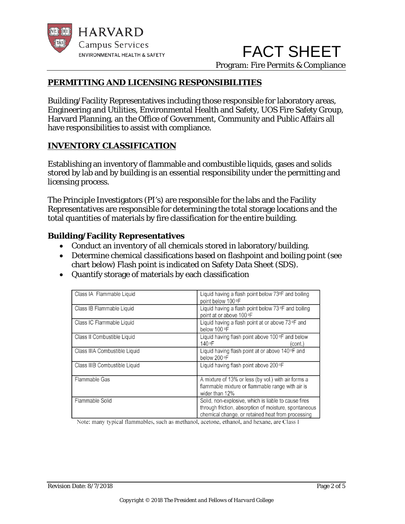

 FACT SHEET Program: Fire Permits & Compliance

# **PERMITTING AND LICENSING RESPONSIBILITIES**

Building/Facility Representatives including those responsible for laboratory areas, Engineering and Utilities, Environmental Health and Safety, UOS Fire Safety Group, Harvard Planning, an the Office of Government, Community and Public Affairs all have responsibilities to assist with compliance.

## **INVENTORY CLASSIFICATION**

Establishing an inventory of flammable and combustible liquids, gases and solids stored by lab and by building is an essential responsibility under the permitting and licensing process.

The Principle Investigators (PI's) are responsible for the labs and the Facility Representatives are responsible for determining the total storage locations and the total quantities of materials by fire classification for the entire building.

# **Building/Facility Representatives**

- Conduct an inventory of all chemicals stored in laboratory/building.
- Determine chemical classifications based on flashpoint and boiling point (see chart below) Flash point is indicated on Safety Data Sheet (SDS).
- Quantify storage of materials by each classification

| Class IA Flammable Liquid     | Liquid having a flash point below 73°F and boiling<br>point below 100 °F                                                                                           |
|-------------------------------|--------------------------------------------------------------------------------------------------------------------------------------------------------------------|
| Class IB Flammable Liquid     | Liquid having a flash point below $73^{\circ}$ F and boiling<br>point at or above 100 °F                                                                           |
| Class IC Flammable Liquid     | Liquid having a flash point at or above 73 °F and<br>below 100 °F                                                                                                  |
| Class II Combustible Liquid   | Liquid having flash point above 100 °F and below<br>140 °F<br>(cont.)                                                                                              |
| Class IIIA Combustible Liquid | Liquid having flash point at or above 140°F and<br>below 200 °F                                                                                                    |
| Class IIIB Combustible Liquid | Liquid having flash point above 200 °F                                                                                                                             |
| Flammable Gas                 | A mixture of 13% or less (by vol.) with air forms a<br>flammable mixture or flammable range with air is<br>wider than 12%                                          |
| Flammable Solid               | Solid, non-explosive, which is liable to cause fires<br>through friction, absorption of moisture, spontaneous<br>chemical change, or retained heat from processing |

Note: many typical flammables, such as methanol, acetone, ethanol, and hexane, are Class I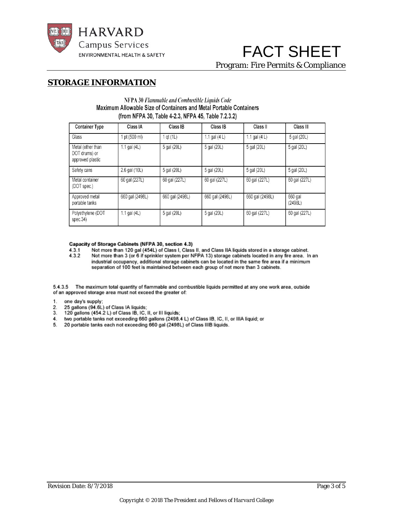

# FACT SHEET Program: Fire Permits & Compliance

### **STORAGE INFORMATION**

### NFPA 30 Flammable and Combustible Liquids Code Maximum Allowable Size of Containers and Metal Portable Containers (from NFPA 30, Table 4-2.3, NFPA 45, Table 7.2.3.2)

| <b>Container Type</b>                                  | Class IA        | Class IB        | <b>Class IB</b> | Class II        | Class III          |
|--------------------------------------------------------|-----------------|-----------------|-----------------|-----------------|--------------------|
| Glass                                                  | pt (500 ml)     | 1 gt (1L)       | 1.1 gal $(4 L)$ | 1.1 gal $(4 L)$ | 5 gal (20L)        |
| Metal (other than<br>DOT drums) or<br>approved plastic | 1.1 gal $(4L)$  | 5 gal (20L)     | 5 gal (20L)     | 5 gal (20L)     | 5 gal (20L)        |
| Safety cans                                            | 2.6 gal (10L)   | 5 gal (20L)     | 5 gal (20L)     | 5 gal (20L)     | 5 gal (20L)        |
| Metal container<br>(DOT spec.)                         | 60 gal (227L)   | 60 gal (227L)   | 60 gal (227L)   | 60 gal (227L)   | 60 gal (227L)      |
| Approved metal<br>portable tanks                       | 660 gal (2498L) | 660 gal (2498L) | 660 gal (2498L) | 660 gal (2498L) | 660 gal<br>(2498L) |
| Polyethylene (DOT<br>spec.34)                          | 1.1 gal $(4L)$  | 5 gal (20L)     | 5 gal (20L)     | 60 gal (227L)   | 60 gal (227L)      |

#### Capacity of Storage Cabinets (NFPA 30, section 4.3)

 $4.3.1$ Not more than 120 gal (454L) of Class I, Class II, and Class IIA liquids stored in a storage cabinet. 4.3.2 Not more than 3 (or 6 if sprinkler system per NFPA 13) storage cabinets located in any fire area. In an industrial occupancy, additional storage cabinets can be located in the same fire area if a minimum separation of 100 feet is maintained between each group of not more than 3 cabinets.

5.4.3.5 The maximum total quantity of flammable and combustible liquids permitted at any one work area, outside of an approved storage area must not exceed the greater of:

- $1.$
- one day's supply;<br>25 gallons (94.6L) of Class IA liquids; 2.
- 3. 120 gallons (454.2 L) of Class IB, IC, II, or III liquids;
- two portable tanks not exceeding 660 gallons (2498.4 L) of Class IB, IC, II, or IIIA liquid; or 4.
- 5. 20 portable tanks each not exceeding 660 gal (2498L) of Class IIIB liquids.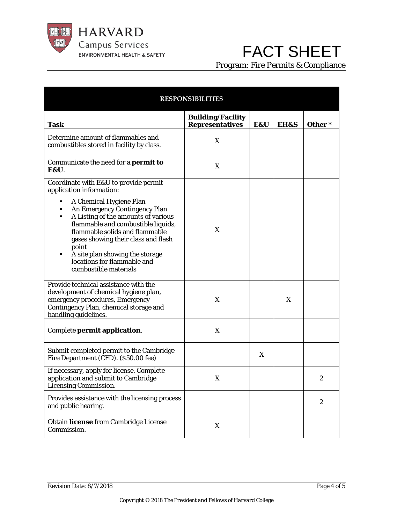

# FACT SHEET

Program: Fire Permits & Compliance

| <b>RESPONSIBILITIES</b>                                                                                                                                                                                                                                                                                                                                                                                                                         |                                                    |     |      |                  |
|-------------------------------------------------------------------------------------------------------------------------------------------------------------------------------------------------------------------------------------------------------------------------------------------------------------------------------------------------------------------------------------------------------------------------------------------------|----------------------------------------------------|-----|------|------------------|
| <b>Task</b>                                                                                                                                                                                                                                                                                                                                                                                                                                     | <b>Building/Facility</b><br><b>Representatives</b> | E&U | EH&S | Other*           |
| Determine amount of flammables and<br>combustibles stored in facility by class.                                                                                                                                                                                                                                                                                                                                                                 | X                                                  |     |      |                  |
| Communicate the need for a <b>permit to</b><br><b>E&amp;U.</b>                                                                                                                                                                                                                                                                                                                                                                                  | X                                                  |     |      |                  |
| Coordinate with E&U to provide permit<br>application information:<br>A Chemical Hygiene Plan<br>٠<br>An Emergency Contingency Plan<br>A Listing of the amounts of various<br>٠<br>flammable and combustible liquids,<br>flammable solids and flammable<br>gases showing their class and flash<br>point<br>A site plan showing the storage<br>٠<br>locations for flammable and<br>combustible materials<br>Provide technical assistance with the | X                                                  |     |      |                  |
| development of chemical hygiene plan,<br>emergency procedures, Emergency<br>Contingency Plan, chemical storage and<br>handling guidelines.                                                                                                                                                                                                                                                                                                      | X                                                  |     | X    |                  |
| Complete permit application.                                                                                                                                                                                                                                                                                                                                                                                                                    | X                                                  |     |      |                  |
| Submit completed permit to the Cambridge<br>Fire Department (CFD). (\$50.00 fee)                                                                                                                                                                                                                                                                                                                                                                |                                                    | X   |      |                  |
| If necessary, apply for license. Complete<br>application and submit to Cambridge<br>Licensing Commission.                                                                                                                                                                                                                                                                                                                                       | X                                                  |     |      | 2                |
| Provides assistance with the licensing process<br>and public hearing.                                                                                                                                                                                                                                                                                                                                                                           |                                                    |     |      | $\boldsymbol{2}$ |
| Obtain license from Cambridge License<br>Commission.                                                                                                                                                                                                                                                                                                                                                                                            | X                                                  |     |      |                  |